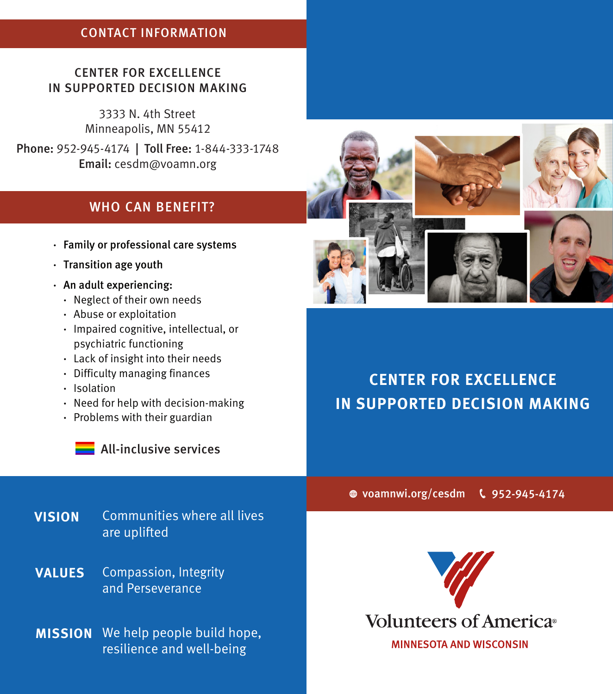## CONTACT INFORMATION

### CENTER FOR EXCELLENCE IN SUPPORTED DECISION MAKING

3333 N. 4th Street Minneapolis, MN 55412

Phone: 952-945-4174 | Toll Free: 1-844-333-1748 Email: cesdm@voamn.org

## WHO CAN BENEFIT?

- **·** Family or professional care systems
- **·** Transition age youth
- **·** An adult experiencing:
	- **·** Neglect of their own needs
	- **·** Abuse or exploitation
	- **·** Impaired cognitive, intellectual, or psychiatric functioning
	- **·** Lack of insight into their needs
	- **·** Difficulty managing finances
	- **·** Isolation
	- **·** Need for help with decision-making
	- **·** Problems with their guardian



**All-inclusive services** 

## **VISION** Communities where all lives are uplifted

Compassion, Integrity and Perseverance **VALUES**

**MISSION** We help people build hope, resilience and well-being



# **CENTER FOR EXCELLENCE IN SUPPORTED DECISION MAKING**

voamnwi.org/cesdm 952-945-4174